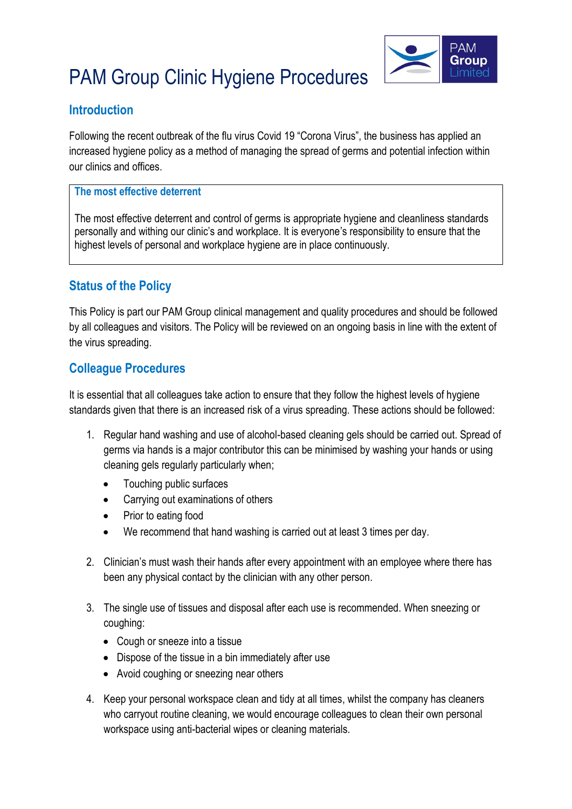# PAM Group Clinic Hygiene Procedures



### **Introduction**

Following the recent outbreak of the flu virus Covid 19 "Corona Virus", the business has applied an increased hygiene policy as a method of managing the spread of germs and potential infection within our clinics and offices.

#### **The most effective deterrent**

The most effective deterrent and control of germs is appropriate hygiene and cleanliness standards personally and withing our clinic's and workplace. It is everyone's responsibility to ensure that the highest levels of personal and workplace hygiene are in place continuously.

## **Status of the Policy**

This Policy is part our PAM Group clinical management and quality procedures and should be followed by all colleagues and visitors. The Policy will be reviewed on an ongoing basis in line with the extent of the virus spreading.

### **Colleague Procedures**

It is essential that all colleagues take action to ensure that they follow the highest levels of hygiene standards given that there is an increased risk of a virus spreading. These actions should be followed:

- 1. Regular hand washing and use of alcohol-based cleaning gels should be carried out. Spread of germs via hands is a major contributor this can be minimised by washing your hands or using cleaning gels regularly particularly when;
	- Touching public surfaces
	- Carrying out examinations of others
	- Prior to eating food
	- We recommend that hand washing is carried out at least 3 times per day.
- 2. Clinician's must wash their hands after every appointment with an employee where there has been any physical contact by the clinician with any other person.
- 3. The single use of tissues and disposal after each use is recommended. When sneezing or coughing:
	- Cough or sneeze into a tissue
	- Dispose of the tissue in a bin immediately after use
	- Avoid coughing or sneezing near others
- 4. Keep your personal workspace clean and tidy at all times, whilst the company has cleaners who carryout routine cleaning, we would encourage colleagues to clean their own personal workspace using anti-bacterial wipes or cleaning materials.